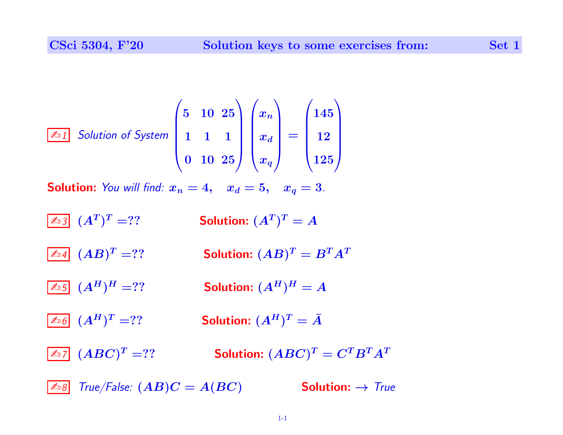$$
\boxed{\mathbb{Z}_2[}
$$
 Solution of System\n
$$
\begin{pmatrix}\n5 & 10 & 25 \\
1 & 1 & 1 \\
0 & 10 & 25\n\end{pmatrix}\n\begin{pmatrix}\nx_n \\
x_d \\
x_d\n\end{pmatrix} =\n\begin{pmatrix}\n145 \\
12 \\
125\n\end{pmatrix}
$$
\nSolution: You will find:  $x_n = 4$ ,  $x_d = 5$ ,  $x_q = 3$ .\n  
\n
$$
\boxed{\mathbb{Z}_2[}
$$
\n
$$
(A^T)^T = ?
$$
\nSolution:  $(A^T)^T = A$ \n  
\n
$$
\boxed{\mathbb{Z}_2[}
$$
\n
$$
(AB)^T = ?
$$
\nSolution:  $(AB)^T = B^T A^T$ \n  
\n
$$
\boxed{\mathbb{Z}_2[}
$$
\n
$$
(A^H)^H = ?
$$
\nSolution:  $(A^H)^H = A$ \n  
\n
$$
\boxed{\mathbb{Z}_2[}
$$
\n
$$
(A^H)^T = ?
$$
\nSolution:  $(A^H)^T = \overline{A}$ \n  
\n
$$
\boxed{\mathbb{Z}_2[}
$$
\n
$$
(ABC)^T = ?
$$
\nSolution:  $(ABC)^T = C^T B^T A^T$ 

 $\boxed{\mathbb{Z}_{\text{B}}\mathbb{S}}$  True/False:  $(AB)C = A(BC)$  **Solution:**  $\rightarrow$  True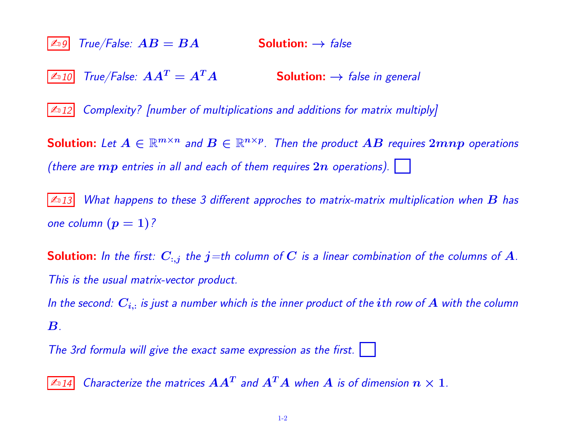$|\mathbb{A}_9|$  True/False:  $AB = BA$  **Solution:**  $\rightarrow$  false  $\boxed{\mathbb{Z}_1 10}$  True/False:  $A A^T = A^T A$  Solution:  $\rightarrow$  false in general  $\mathbb{Z}$  12 Complexity? [number of multiplications and additions for matrix multiply]  ${\sf Solution} \colon \textit{Let } A \in \mathbb{R}^{m \times n}$  and  $B \in \mathbb{R}^{n \times p}$ . Then the product  $AB$  requires  $2mnp$  operations (there are  $mp$  entries in all and each of them requires  $2n$  operations).  $| \quad |$  $|\mathcal{L}_{13}|$  What happens to these 3 different approches to matrix-matrix multiplication when  $\bm{B}$  has one column  $(p = 1)$ ? **Solution:** In the first:  $C_{:,j}$  the  $j$ =th column of C is a linear combination of the columns of A.

This is the usual matrix-vector product.

In the second:  $\bm{C_{i,:}}$  is just a number which is the inner product of the  $i$ th row of  $\bm{A}$  with the column  $\boldsymbol{B}$ .

The 3rd formula will give the exact same expression as the first.

 $\overline{\mathbb{Z}_1 14}$  Characterize the matrices  $\boldsymbol{A}\boldsymbol{A}^T$  and  $\boldsymbol{A}^T\boldsymbol{A}$  when  $\boldsymbol{A}$  is of dimension  $\boldsymbol{n}\times 1$  .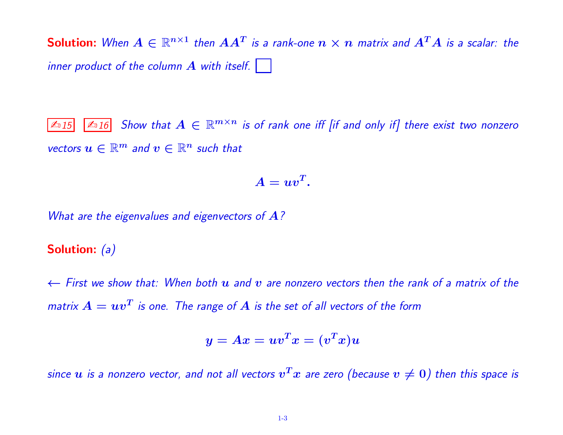**Solution:** When  $A \in \mathbb{R}^{n \times 1}$  then  $AA^T$  is a rank-one  $n \times n$  matrix and  $A^TA$  is a scalar: the inner product of the column  $\bm{A}$  with itself.

 $\boxed{\mathbb{Z}_1[15]}$   $\boxed{\mathbb{Z}_1[6]}$  Show that  $A\in\mathbb{R}^{m\times n}$  is of rank one iff [if and only if] there exist two nonzero vectors  $u \in \mathbb{R}^m$  and  $v \in \mathbb{R}^n$  such that

$$
A=uv^T.
$$

What are the eigenvalues and eigenvectors of  $A$ ?

## Solution: (a)

 $\leftarrow$  First we show that: When both u and v are nonzero vectors then the rank of a matrix of the matrix  $A = u v^T$  is one. The range of  $A$  is the set of all vectors of the form

$$
y = Ax = uv^T x = (v^T x) u \quad
$$

since  $u$  is a nonzero vector, and not all vectors  $v^T x$  are zero (because  $v\neq 0)$  then this space is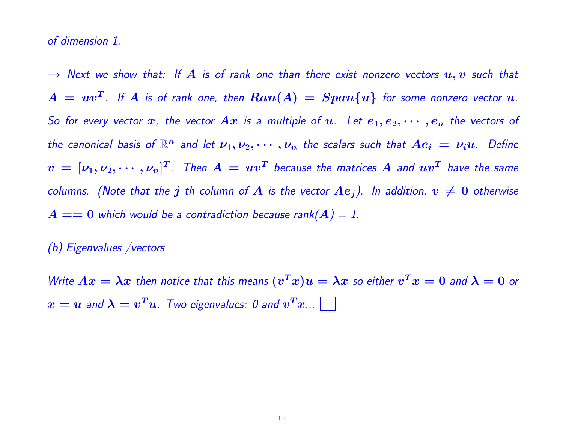of dimension 1.

 $\rightarrow$  Next we show that: If  $A$  is of rank one than there exist nonzero vectors  $u, v$  such that  $A\,=\,uv^T$ . If  $A$  is of rank one, then  $Ran(A)\,=\,Span\{u\}$  for some nonzero vector  $u$ . So for every vector x, the vector  $Ax$  is a multiple of u. Let  $e_1, e_2, \cdots, e_n$  the vectors of the canonical basis of  $\mathbb{R}^n$  and let  $\nu_1, \nu_2, \cdots, \nu_n$  the scalars such that  $Ae_i \,=\, \nu_i u$ . Define  $v\,=\,[\nu_1,\nu_2,\cdots,\nu_n]^T$ . Then  $A\,=\,uv^T$  because the matrices  $A$  and  $uv^T$  have the same columns. (Note that the j-th column of A is the vector  $Ae_j$ ). In addition,  $v \neq 0$  otherwise  $A == 0$  which would be a contradiction because rank $(A) = 1$ .

(b) Eigenvalues /vectors

Write  $Ax = \lambda x$  then notice that this means  $(v^T x) u = \lambda x$  so either  $v^T x = 0$  and  $\lambda = 0$  or  $x=u$  and  $\lambda=v^Tu$ . Two eigenvalues: 0 and  $v^Tx...$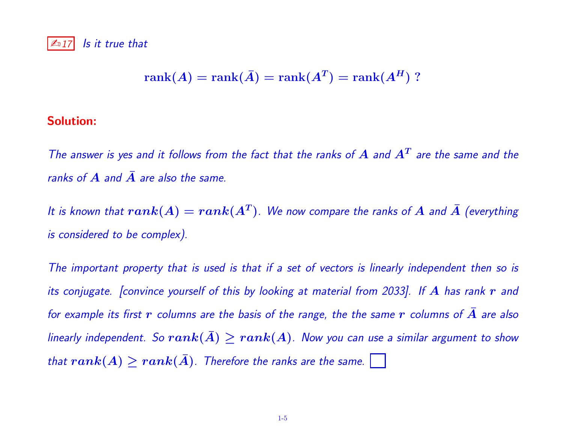## $\mathbb{Z}$  17 Is it true that

$$
rank(A) = rank(\bar{A}) = rank(A^T) = rank(A^H) ?
$$

## Solution:

The answer is yes and it follows from the fact that the ranks of  $A$  and  $A<sup>T</sup>$  are the same and the ranks of  $\overline{A}$  and  $\overline{A}$  are also the same.

It is known that  $rank(A) = rank(A^T)$ . We now compare the ranks of  $A$  and  $\bar{A}$  (everything is considered to be complex).

The important property that is used is that if a set of vectors is linearly independent then so is its conjugate. [convince yourself of this by looking at material from 2033]. If  $A$  has rank  $r$  and for example its first  $r$  columns are the basis of the range, the the same  $r$  columns of  $A$  are also linearly independent. So  $rank(\bar{A}) \ge rank(A)$ . Now you can use a similar argument to show that  $rank(A) \ge rank(\bar{A})$ . Therefore the ranks are the same.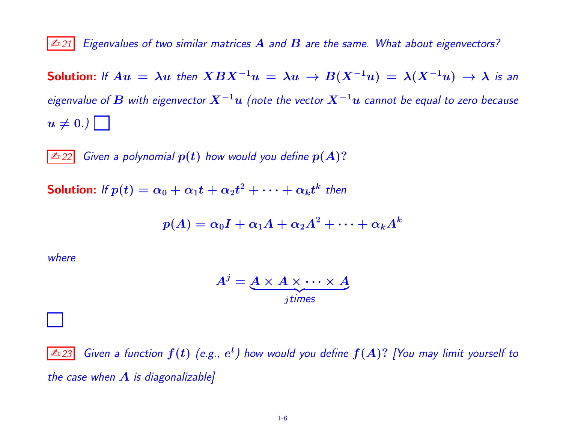$|\mathbb{A}_21|$  Eigenvalues of two similar matrices  $A$  and  $B$  are the same. What about eigenvectors?

Solution: If  $Au = \lambda u$  then  $XBX^{-1}u = \lambda u \rightarrow B(X^{-1}u) = \lambda (X^{-1}u) \rightarrow \lambda$  is an eigenvalue of  $\bm{B}$  with eigenvector  $\bm{X}^{-1}\bm{u}$  (note the vector  $\bm{X}^{-1}\bm{u}$  cannot be equal to zero because  $u \neq 0.$ )

 $|\ln 22|$  Given a polynomial  $p(t)$  how would you define  $p(A)$ ?

Solution: If  $p(t)=\alpha_0+\alpha_1t+\alpha_2t^2+\cdots+\alpha_kt^k$  then

$$
p(A)=\alpha_0 I+\alpha_1 A+\alpha_2 A^2+\cdots+\alpha_k A^k
$$

where

$$
A^j = \underbrace{A \times A \times \cdots \times A}_{j \text{ times}}
$$

 $\overline{\mathbb{Z}_2}$ 23 Given a function  $f(t)$  (e.g.,  $e^t$ ) how would you define  $f(A)$ ? [You may limit yourself to the case when  $A$  is diagonalizable]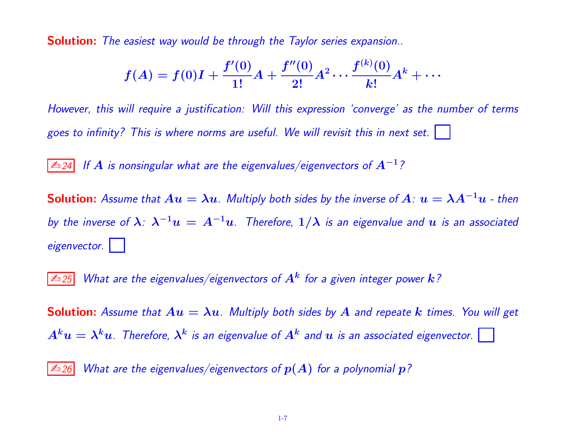**Solution:** The easiest way would be through the Taylor series expansion..

$$
f(A)=f(0)I+\frac{f'(0)}{1!}A+\frac{f''(0)}{2!}A^2\cdots\frac{f^{(k)}(0)}{k!}A^k+\cdots
$$

However, this will require a justification: Will this expression 'converge' as the number of terms goes to infinity? This is where norms are useful. We will revisit this in next set.

≰ಾ $24$  If  $\bm A$  is nonsingular what are the eigenvalues/eigenvectors of  $\bm A^{-1}$  ?

**Solution:** Assume that  $Au = \lambda u$ . Multiply both sides by the inverse of  $A: u = \lambda A^{-1}u$  - then by the inverse of  $\bm{\lambda}$ :  $\bm{\lambda^{-1}u} = A^{-1}u$ . Therefore,  $1/\bm{\lambda}$  is an eigenvalue and  $u$  is an associated eigenvector.

 $\overline{\mathbb{Z}_2$ 25 What are the eigenvalues/eigenvectors of  $\overline{A^k}$  for a given integer power  $k$  ?

**Solution:** Assume that  $Au = \lambda u$ . Multiply both sides by A and repeate k times. You will get  $A^ku=\lambda^ku$ . Therefore,  $\lambda^k$  is an eigenvalue of  $A^k$  and  $u$  is an associated eigenvector.

 $\vert$   $\mathbb{Z}_2$  26 What are the eigenvalues/eigenvectors of  $p(A)$  for a polynomial  $p$ ?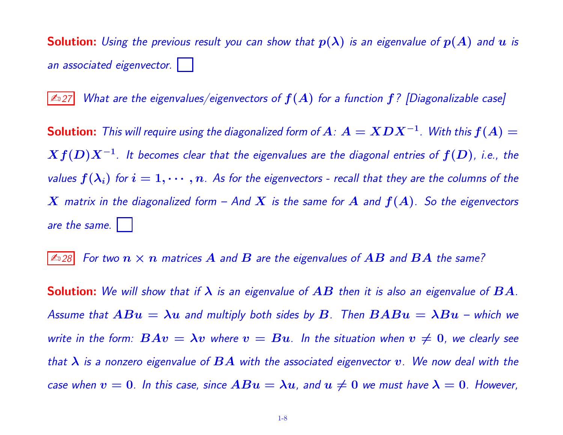**Solution:** Using the previous result you can show that  $p(\lambda)$  is an eigenvalue of  $p(A)$  and  $u$  is an associated eigenvector.

 $\mathbb{Z}$  27 What are the eigenvalues/eigenvectors of  $f(A)$  for a function  $f$  ? [Diagonalizable case]

**Solution:** This will require using the diagonalized form of  $A$ :  $A = XDX^{-1}$ . With this  $f(A) =$  $Xf(D)X^{-1}$ . It becomes clear that the eigenvalues are the diagonal entries of  $f(D)$ , i.e., the values  $f(\lambda_i)$  for  $i = 1, \cdots, n$ . As for the eigenvectors - recall that they are the columns of the  $X$  matrix in the diagonalized form – And  $X$  is the same for  $A$  and  $f(A)$ . So the eigenvectors are the same.

 $|\mathbb{A}_2 28|$  For two  $n \times n$  matrices  $A$  and  $B$  are the eigenvalues of  $AB$  and  $BA$  the same?

**Solution:** We will show that if  $\lambda$  is an eigenvalue of  $AB$  then it is also an eigenvalue of  $BA$ . Assume that  $ABu = \lambda u$  and multiply both sides by B. Then  $BABu = \lambda Bu$  – which we write in the form:  $BAv = \lambda v$  where  $v = Bu$ . In the situation when  $v \neq 0$ , we clearly see that  $\lambda$  is a nonzero eigenvalue of  $BA$  with the associated eigenvector  $v$ . We now deal with the case when  $v = 0$ . In this case, since  $ABu = \lambda u$ , and  $u \neq 0$  we must have  $\lambda = 0$ . However,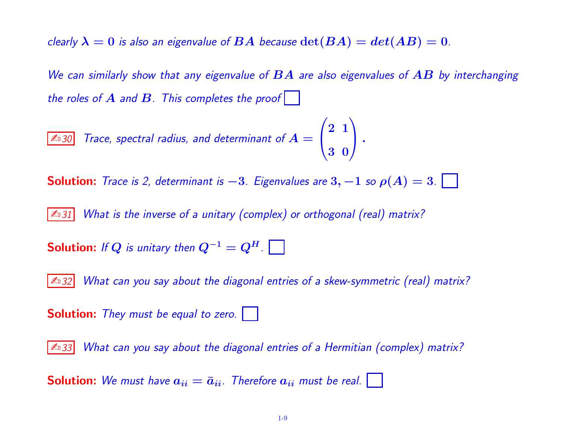clearly  $\lambda = 0$  is also an eigenvalue of  $BA$  because  $\det(BA) = det(AB) = 0$ .

We can similarly show that any eigenvalue of  $BA$  are also eigenvalues of  $AB$  by interchanging the roles of  $A$  and  $B$ . This completes the proof  $| \cdot |$ 

$$
\boxed{\text{4.30} \quad \text{Trace, spectral radius, and determinant of } A = \begin{pmatrix} 2 & 1 \\ 3 & 0 \end{pmatrix}.
$$

**Solution:** Trace is 2, determinant is  $-3$ . Eigenvalues are  $3, -1$  so  $\rho(A) = 3$ .

**Example 1** Anallet *What is the inverse of a unitary (complex) or orthogonal (real) matrix?* 

**Solution:** If Q is unitary then  $Q^{-1} = Q^H$ .

 $\mathbb{Z}$  32 What can you say about the diagonal entries of a skew-symmetric (real) matrix?

**Solution:** They must be equal to zero.

 $\mathbb{Z}$  33 What can you say about the diagonal entries of a Hermitian (complex) matrix?

**Solution:** We must have  $a_{ii} = \bar{a}_{ii}$ . Therefore  $a_{ii}$  must be real.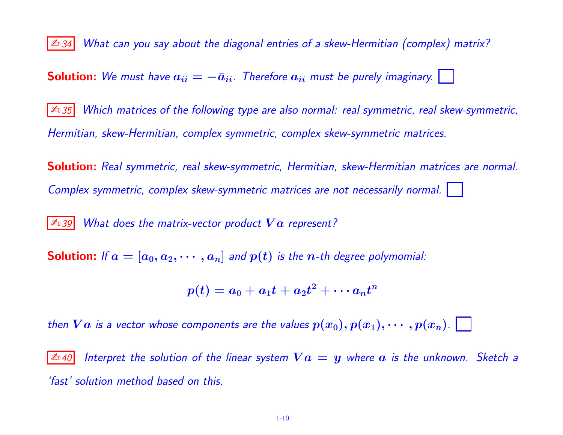| ≰ 34 What can you say about the diagonal entries of a skew-Hermitian (complex) matrix?

**Solution:** We must have  $a_{ii} = -\bar{a}_{ii}$ . Therefore  $a_{ii}$  must be purely imaginary.

 $\mathbb{Z}$  35 Which matrices of the following type are also normal: real symmetric, real skew-symmetric, Hermitian, skew-Hermitian, complex symmetric, complex skew-symmetric matrices.

Solution: Real symmetric, real skew-symmetric, Hermitian, skew-Hermitian matrices are normal. Complex symmetric, complex skew-symmetric matrices are not necessarily normal.

 $\mathbb{Z}$  39 What does the matrix-vector product  $Va$  represent?

**Solution:** If  $a = [a_0, a_2, \dots, a_n]$  and  $p(t)$  is the *n*-th degree polymomial:

$$
p(t)=a_0+a_1t+a_2t^2+\cdots a_nt^n
$$

then  $Va$  is a vector whose components are the values  $p(x_0), p(x_1), \cdots, p(x_n)$ .

 $\mathbb{Z}_4$ 0 Interpret the solution of the linear system  $Va = y$  where  $a$  is the unknown. Sketch a 'fast' solution method based on this.